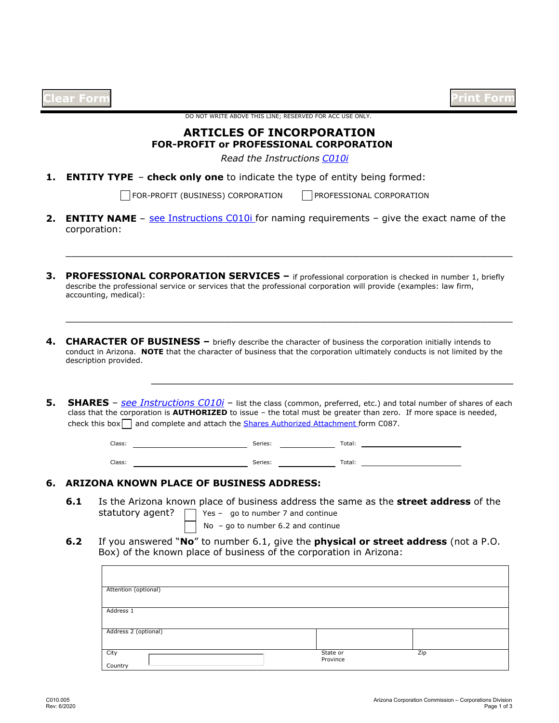|            |                                                                                                                                           | DO NOT WRITE ABOVE THIS LINE; RESERVED FOR ACC USE ONLY.                      |                                                                                                                                                                                                                                                                                                                                                                  | Int Forn |
|------------|-------------------------------------------------------------------------------------------------------------------------------------------|-------------------------------------------------------------------------------|------------------------------------------------------------------------------------------------------------------------------------------------------------------------------------------------------------------------------------------------------------------------------------------------------------------------------------------------------------------|----------|
|            |                                                                                                                                           | <b>ARTICLES OF INCORPORATION</b>                                              |                                                                                                                                                                                                                                                                                                                                                                  |          |
|            |                                                                                                                                           | <b>FOR-PROFIT or PROFESSIONAL CORPORATION</b>                                 |                                                                                                                                                                                                                                                                                                                                                                  |          |
|            |                                                                                                                                           | Read the Instructions C010i                                                   |                                                                                                                                                                                                                                                                                                                                                                  |          |
|            | <b>ENTITY TYPE - check only one to indicate the type of entity being formed:</b>                                                          |                                                                               |                                                                                                                                                                                                                                                                                                                                                                  |          |
|            |                                                                                                                                           | FOR-PROFIT (BUSINESS) CORPORATION                                             | PROFESSIONAL CORPORATION                                                                                                                                                                                                                                                                                                                                         |          |
| 2.         | corporation:                                                                                                                              |                                                                               | <b>ENTITY NAME</b> - see Instructions $C010i$ for naming requirements - give the exact name of the                                                                                                                                                                                                                                                               |          |
|            | accounting, medical):                                                                                                                     |                                                                               | <b>PROFESSIONAL CORPORATION SERVICES</b> $-$ if professional corporation is checked in number 1, briefly<br>describe the professional service or services that the professional corporation will provide (examples: law firm,                                                                                                                                    |          |
|            |                                                                                                                                           |                                                                               |                                                                                                                                                                                                                                                                                                                                                                  |          |
|            | description provided.                                                                                                                     |                                                                               | <b>CHARACTER OF BUSINESS</b> - briefly describe the character of business the corporation initially intends to<br>conduct in Arizona. NOTE that the character of business that the corporation ultimately conducts is not limited by the<br><b>SHARES</b> - see Instructions C010i - list the class (common, preferred, etc.) and total number of shares of each |          |
|            | check this box $\Box$ and complete and attach the Shares Authorized Attachment form C087.                                                 |                                                                               | class that the corporation is AUTHORIZED to issue - the total must be greater than zero. If more space is needed,                                                                                                                                                                                                                                                |          |
|            | Class:                                                                                                                                    |                                                                               |                                                                                                                                                                                                                                                                                                                                                                  |          |
|            | Class:                                                                                                                                    | <b>Example 2018</b> Series: <b>Container Series:</b> Total:<br><b>Series:</b> | Total: The Commission of the Commission of the Commission of the Commission of the Commission of the Commission of the Commission of the Commission of the Commission of the Commission of the Commission of the Commission of                                                                                                                                   |          |
|            |                                                                                                                                           |                                                                               |                                                                                                                                                                                                                                                                                                                                                                  |          |
| 6.1<br>6.2 | <b>ARIZONA KNOWN PLACE OF BUSINESS ADDRESS:</b><br>statutory agent?<br>Box) of the known place of business of the corporation in Arizona: | Yes - $qo$ to number 7 and continue<br>No - go to number $6.2$ and continue   | Is the Arizona known place of business address the same as the <b>street address</b> of the<br>If you answered "No" to number 6.1, give the <b>physical or street address</b> (not a P.O.                                                                                                                                                                        |          |

Zip

Address 2 (optional)

Country

City State or State or State or State or State or State or State or State or State or State or State or State or State or State or State or State or State or State or State or State or State or State or State or State or S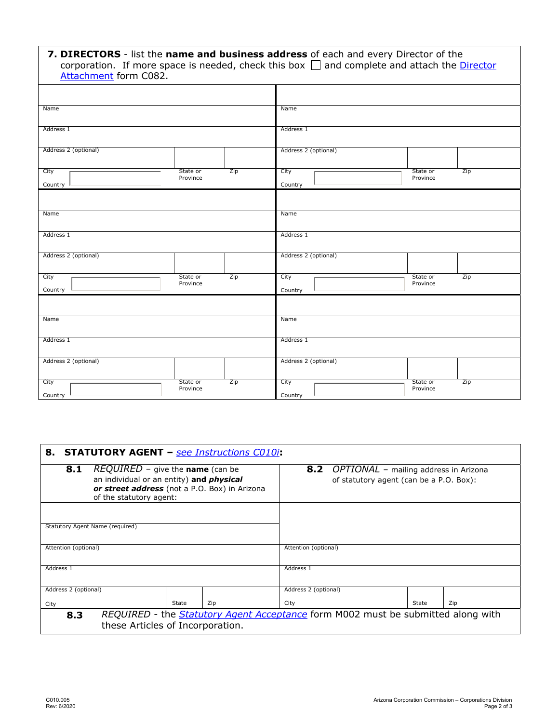| 7. DIRECTORS - list the name and business address of each and every Director of the<br>corporation. If more space is needed, check this box $\Box$ and complete and attach the Director<br>Attachment form C082. |                      |     |                      |                      |                      |     |
|------------------------------------------------------------------------------------------------------------------------------------------------------------------------------------------------------------------|----------------------|-----|----------------------|----------------------|----------------------|-----|
|                                                                                                                                                                                                                  |                      |     |                      |                      |                      |     |
| Name                                                                                                                                                                                                             |                      |     | Name                 |                      |                      |     |
| Address 1                                                                                                                                                                                                        |                      |     | Address 1            |                      |                      |     |
| Address 2 (optional)                                                                                                                                                                                             |                      |     | Address 2 (optional) |                      |                      |     |
| City<br>$\blacktriangledown$<br>Country                                                                                                                                                                          | State or<br>Province | Zip | City<br>Country      | $\blacktriangledown$ | State or<br>Province | Zip |
| Name                                                                                                                                                                                                             |                      |     | Name                 |                      |                      |     |
| Address 1                                                                                                                                                                                                        |                      |     | Address 1            |                      |                      |     |
| Address 2 (optional)                                                                                                                                                                                             |                      |     | Address 2 (optional) |                      |                      |     |
| City<br>$\mathbf{r}$<br>Country                                                                                                                                                                                  | State or<br>Province | Zip | City<br>Country      | $\blacktriangledown$ | State or<br>Province | Zip |
| Name                                                                                                                                                                                                             |                      |     | Name                 |                      |                      |     |
|                                                                                                                                                                                                                  |                      |     |                      |                      |                      |     |
| Address 1                                                                                                                                                                                                        |                      |     | Address 1            |                      |                      |     |
| Address 2 (optional)                                                                                                                                                                                             |                      |     | Address 2 (optional) |                      |                      |     |
| City<br>$\blacktriangledown$<br>Country                                                                                                                                                                          | State or<br>Province | Zip | City<br>Country      |                      | State or<br>Province | Zip |

| <b>STATUTORY AGENT</b> – see Instructions C010i<br>8. |                                                                                                                             |       |     |                                         |                                           |       |     |  |
|-------------------------------------------------------|-----------------------------------------------------------------------------------------------------------------------------|-------|-----|-----------------------------------------|-------------------------------------------|-------|-----|--|
| 8.1                                                   | REQUIRED - give the name (can be                                                                                            |       |     |                                         | 8.2 OPTIONAL - mailing address in Arizona |       |     |  |
|                                                       | an individual or an entity) and <i>physical</i><br>or street address (not a P.O. Box) in Arizona<br>of the statutory agent: |       |     | of statutory agent (can be a P.O. Box): |                                           |       |     |  |
|                                                       |                                                                                                                             |       |     |                                         |                                           |       |     |  |
|                                                       | Statutory Agent Name (required)                                                                                             |       |     |                                         |                                           |       |     |  |
| Attention (optional)                                  |                                                                                                                             |       |     | Attention (optional)                    |                                           |       |     |  |
| Address 1                                             |                                                                                                                             |       |     | Address 1                               |                                           |       |     |  |
| Address 2 (optional)                                  |                                                                                                                             |       |     | Address 2 (optional)                    |                                           |       |     |  |
| City                                                  |                                                                                                                             | State | Zip | City                                    |                                           | State | Zip |  |
| 8.3                                                   | REQUIRED - the <b>Statutory Agent Acceptance</b> form M002 must be submitted along with<br>these Articles of Incorporation. |       |     |                                         |                                           |       |     |  |